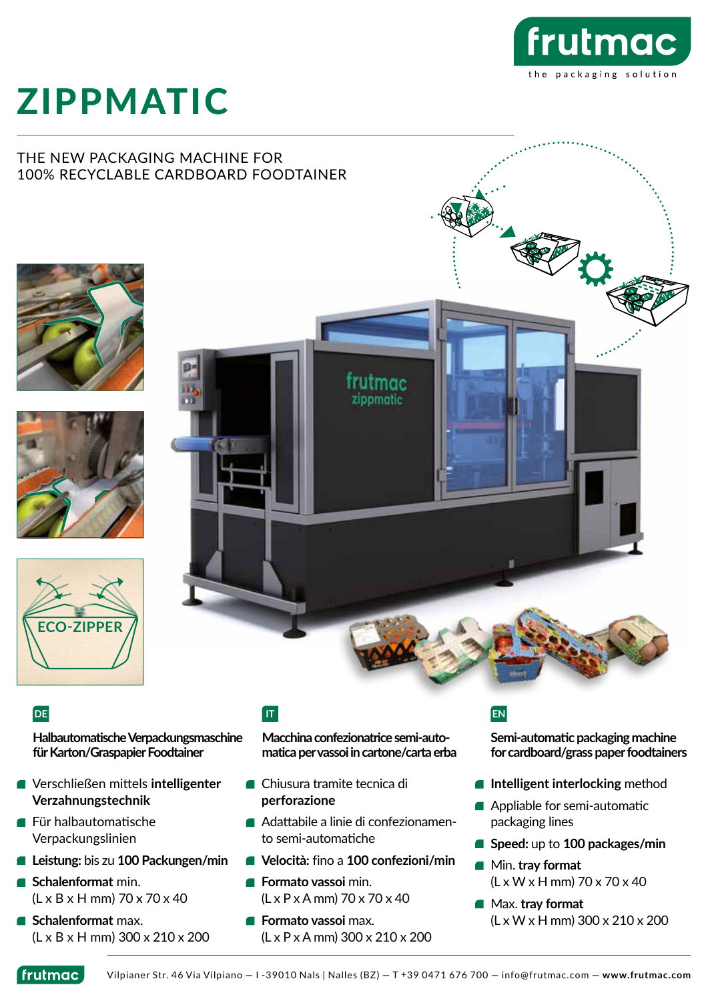

# ZIPPMATIC

### THE NEW PACKAGING MACHINE FOR 100% RECYCLABLE CARDBOARD FOODTAINER









**Halbautomatische Verpackungsmaschine für Karton/Graspapier Foodtainer**

- Verschließen mittels **intelligenter Verzahnungstechnik**
- Für halbautomatische Verpackungslinien
- **Leistung:** bis zu **100 Packungen/min**
- **Schalenformat** min. (L x B x H mm) 70 x 70 x 40
- **Schalenformat** max. (L x B x H mm) 300 x 210 x 200

**Macchina confezionatrice semi-automatica per vassoi in cartone/carta erba**

- Chiusura tramite tecnica di **perforazione**
- Adattabile a linie di confezionamento semi-automatiche
- **Velocità:** fino a **100 confezioni/min**
- **Formato vassoi** min. (L x P x A mm) 70 x 70 x 40
- **Formato vassoi** max. (L x P x A mm) 300 x 210 x 200

# **DE IT EN**

**Semi-automatic packaging machine for cardboard/grass paper foodtainers**

- **Intelligent interlocking** method
- **Appliable for semi-automatic** packaging lines
- **Speed:** up to **100 packages/min**
- Min. **tray format** (L x W x H mm) 70 x 70 x 40
- Max. **tray format** (L x W x H mm) 300 x 210 x 200